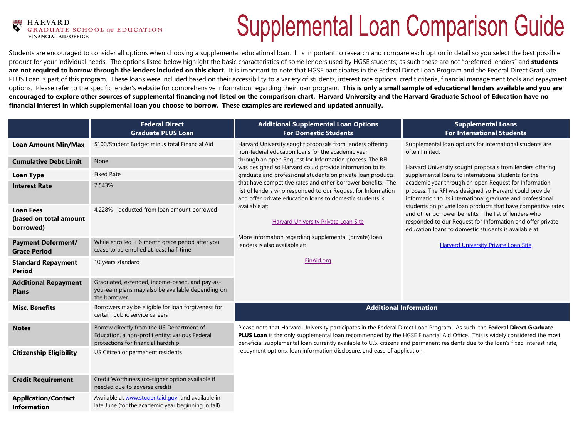#### **HARVARD** ATE SCHOOL OF EDUCATION  **FINANCIAL AID OFFICE**

# **Supplemental Loan Comparison Guide**

Students are encouraged to consider all options when choosing a supplemental educational loan. It is important to research and compare each option in detail so you select the best possible product for your individual needs. The options listed below highlight the basic characteristics of some lenders used by HGSE students; as such these are not "preferred lenders" and **students**  are not required to borrow through the lenders included on this chart. It is important to note that HGSE participates in the Federal Direct Loan Program and the Federal Direct Graduate PLUS Loan is part of this program. These loans were included based on their accessibility to a variety of students, interest rate options, credit criteria, financial management tools and repayment options. Please refer to the specific lender's website for comprehensive information regarding their loan program. **This is only a small sample of educational lenders available and you are encouraged to explore other sources of supplemental financing not listed on the comparison chart. Harvard University and the Harvard Graduate School of Education have no financial interest in which supplemental loan you choose to borrow. These examples are reviewed and updated annually.**

|                                                         | <b>Federal Direct</b><br><b>Graduate PLUS Loan</b>                                                                                 | <b>Additional Supplemental Loan Options</b><br><b>For Domestic Students</b>                                                                                                                                                                                                                                                                                                                                                                                                                                                                                                                                                                                   | <b>Supplemental Loans</b><br><b>For International Students</b>                                                                                                                                                                                                                                                                                                                                                                                                                                                                                                                                                                                                                  |
|---------------------------------------------------------|------------------------------------------------------------------------------------------------------------------------------------|---------------------------------------------------------------------------------------------------------------------------------------------------------------------------------------------------------------------------------------------------------------------------------------------------------------------------------------------------------------------------------------------------------------------------------------------------------------------------------------------------------------------------------------------------------------------------------------------------------------------------------------------------------------|---------------------------------------------------------------------------------------------------------------------------------------------------------------------------------------------------------------------------------------------------------------------------------------------------------------------------------------------------------------------------------------------------------------------------------------------------------------------------------------------------------------------------------------------------------------------------------------------------------------------------------------------------------------------------------|
| <b>Loan Amount Min/Max</b>                              | \$100/Student Budget minus total Financial Aid                                                                                     | Harvard University sought proposals from lenders offering<br>non-federal education loans for the academic year<br>through an open Request for Information process. The RFI<br>was designed so Harvard could provide information to its<br>graduate and professional students on private loan products<br>that have competitive rates and other borrower benefits. The<br>list of lenders who responded to our Request for Information<br>and offer private education loans to domestic students is<br>available at:<br><b>Harvard University Private Loan Site</b><br>More information regarding supplemental (private) loan<br>lenders is also available at: | Supplemental loan options for international students are<br>often limited.<br>Harvard University sought proposals from lenders offering<br>supplemental loans to international students for the<br>academic year through an open Request for Information<br>process. The RFI was designed so Harvard could provide<br>information to its international graduate and professional<br>students on private loan products that have competitive rates<br>and other borrower benefits. The list of lenders who<br>responded to our Request for Information and offer private<br>education loans to domestic students is available at:<br><b>Harvard University Private Loan Site</b> |
| <b>Cumulative Debt Limit</b>                            | None                                                                                                                               |                                                                                                                                                                                                                                                                                                                                                                                                                                                                                                                                                                                                                                                               |                                                                                                                                                                                                                                                                                                                                                                                                                                                                                                                                                                                                                                                                                 |
| <b>Loan Type</b>                                        | <b>Fixed Rate</b>                                                                                                                  |                                                                                                                                                                                                                                                                                                                                                                                                                                                                                                                                                                                                                                                               |                                                                                                                                                                                                                                                                                                                                                                                                                                                                                                                                                                                                                                                                                 |
| <b>Interest Rate</b>                                    | 7.543%                                                                                                                             |                                                                                                                                                                                                                                                                                                                                                                                                                                                                                                                                                                                                                                                               |                                                                                                                                                                                                                                                                                                                                                                                                                                                                                                                                                                                                                                                                                 |
| <b>Loan Fees</b><br>(based on total amount<br>borrowed) | 4.228% - deducted from loan amount borrowed                                                                                        |                                                                                                                                                                                                                                                                                                                                                                                                                                                                                                                                                                                                                                                               |                                                                                                                                                                                                                                                                                                                                                                                                                                                                                                                                                                                                                                                                                 |
| <b>Payment Deferment/</b><br><b>Grace Period</b>        | While enrolled + 6 month grace period after you<br>cease to be enrolled at least half-time                                         |                                                                                                                                                                                                                                                                                                                                                                                                                                                                                                                                                                                                                                                               |                                                                                                                                                                                                                                                                                                                                                                                                                                                                                                                                                                                                                                                                                 |
| <b>Standard Repayment</b><br><b>Period</b>              | 10 years standard                                                                                                                  | FinAid.org                                                                                                                                                                                                                                                                                                                                                                                                                                                                                                                                                                                                                                                    |                                                                                                                                                                                                                                                                                                                                                                                                                                                                                                                                                                                                                                                                                 |
| <b>Additional Repayment</b><br><b>Plans</b>             | Graduated, extended, income-based, and pay-as-<br>you-earn plans may also be available depending on<br>the borrower.               |                                                                                                                                                                                                                                                                                                                                                                                                                                                                                                                                                                                                                                                               |                                                                                                                                                                                                                                                                                                                                                                                                                                                                                                                                                                                                                                                                                 |
| <b>Misc. Benefits</b>                                   | Borrowers may be eligible for loan forgiveness for<br>certain public service careers                                               | <b>Additional Information</b>                                                                                                                                                                                                                                                                                                                                                                                                                                                                                                                                                                                                                                 |                                                                                                                                                                                                                                                                                                                                                                                                                                                                                                                                                                                                                                                                                 |
| <b>Notes</b>                                            | Borrow directly from the US Department of<br>Education, a non-profit entity; various Federal<br>protections for financial hardship | Please note that Harvard University participates in the Federal Direct Loan Program. As such, the Federal Direct Graduate<br>PLUS Loan is the only supplemental loan recommended by the HGSE Financial Aid Office. This is widely considered the most<br>beneficial supplemental loan currently available to U.S. citizens and permanent residents due to the loan's fixed interest rate,                                                                                                                                                                                                                                                                     |                                                                                                                                                                                                                                                                                                                                                                                                                                                                                                                                                                                                                                                                                 |
| <b>Citizenship Eligibility</b>                          | US Citizen or permanent residents                                                                                                  | repayment options, loan information disclosure, and ease of application.                                                                                                                                                                                                                                                                                                                                                                                                                                                                                                                                                                                      |                                                                                                                                                                                                                                                                                                                                                                                                                                                                                                                                                                                                                                                                                 |
| <b>Credit Requirement</b>                               | Credit Worthiness (co-signer option available if<br>needed due to adverse credit)                                                  |                                                                                                                                                                                                                                                                                                                                                                                                                                                                                                                                                                                                                                                               |                                                                                                                                                                                                                                                                                                                                                                                                                                                                                                                                                                                                                                                                                 |
| <b>Application/Contact</b><br><b>Information</b>        | Available at www.studentaid.gov and available in<br>late June (for the academic year beginning in fall)                            |                                                                                                                                                                                                                                                                                                                                                                                                                                                                                                                                                                                                                                                               |                                                                                                                                                                                                                                                                                                                                                                                                                                                                                                                                                                                                                                                                                 |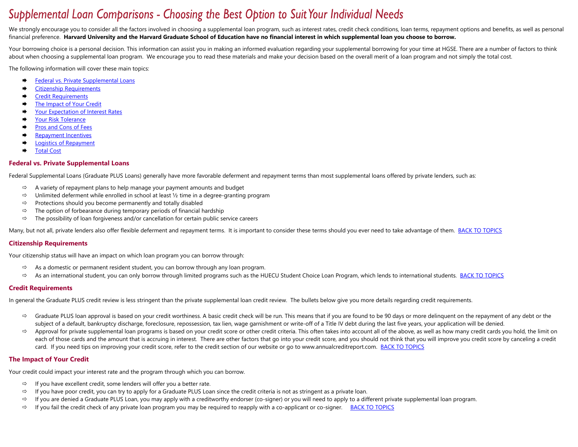# Supplemental Loan Comparisons - Choosing the Best Option to Suit Your Individual Needs

We strongly encourage you to consider all the factors involved in choosing a supplemental loan program, such as interest rates, credit check conditions, loan terms, repayment options and benefits, as well as personal financial preference. **Harvard University and the Harvard Graduate School of Education have no financial interest in which supplemental loan you choose to borrow.**

Your borrowing choice is a personal decision. This information can assist you in making an informed evaluation regarding your supplemental borrowing for your time at HGSE. There are a number of factors to think about when choosing a supplemental loan program. We encourage you to read these materials and make your decision based on the overall merit of a loan program and not simply the total cost.

<span id="page-1-5"></span>The following information will cover these main topics:

- [Federal vs. Private Supplemental](#page-1-0) Loans
- [Citizenship Requirements](#page-1-1)
- [Credit Requirements](#page-1-2)
- **►** [The Impact of Your Credit](#page-1-3)
- **→ [Your Expectation of Interest Rates](#page-1-4)**
- ◆ [Your Risk Tolerance](#page-2-0)
- **►** [Pros and Cons of Fees](#page-2-1)
- **►** [Repayment Incentives](#page-2-2)
- **►** [Logistics of Repayment](#page-2-3)
- [Total Cost](#page-2-4)

# <span id="page-1-0"></span>**Federal vs. Private Supplemental Loans**

Federal Supplemental Loans (Graduate PLUS Loans) generally have more favorable deferment and repayment terms than most supplemental loans offered by private lenders, such as:

- A variety of repayment plans to help manage your payment amounts and budget
- $\Rightarrow$  Unlimited deferment while enrolled in school at least  $\frac{1}{2}$  time in a degree-granting program
- $\Rightarrow$  Protections should you become permanently and totally disabled
- $\Rightarrow$  The option of forbearance during temporary periods of financial hardship
- $\Rightarrow$  The possibility of loan forgiveness and/or cancellation for certain public service careers

Many, but not all, private lenders also offer flexible deferment and repayment terms. It is important to consider these terms should you ever need to take advantage of them. [BACK TO TOPICS](#page-1-5)

# <span id="page-1-1"></span>**Citizenship Requirements**

Your citizenship status will have an impact on which loan program you can borrow through:

- $\Rightarrow$  As a domestic or permanent resident student, you can borrow through any loan program.
- $\Rightarrow$  As an international student, you can only borrow through limited programs such as the HUECU Student Choice Loan Program, which lends to international students. [BACK TO TOPICS](#page-1-5)

# <span id="page-1-2"></span>**Credit Requirements**

In general the Graduate PLUS credit review is less stringent than the private supplemental loan credit review. The bullets below give you more details regarding credit requirements.

- $\Rightarrow$  Graduate PLUS loan approval is based on your credit worthiness. A basic credit check will be run. This means that if you are found to be 90 days or more delinquent on the repayment of any debt or the subject of a default, bankruptcy discharge, foreclosure, repossession, tax lien, wage garnishment or write-off of a Title IV debt during the last five years, your application will be denied.
- $\Rightarrow$  Approval for private supplemental loan programs is based on your credit score or other credit criteria. This often takes into account all of the above, as well as how many credit cards you hold, the limit on each of those cards and the amount that is accruing in interest. There are other factors that go into your credit score, and you should not think that you will improve you credit score by canceling a credit card. If you need tips on improving your credit score, refer to the credit section of our website or go to www.annualcreditreport.com. **BACK TO TOPICS**

# <span id="page-1-3"></span>**The Impact of Your Credit**

Your credit could impact your interest rate and the program through which you can borrow.

- $\Rightarrow$  If you have excellent credit, some lenders will offer you a better rate.
- $\Rightarrow$  If you have poor credit, you can try to apply for a Graduate PLUS Loan since the credit criteria is not as stringent as a private loan.
- $\Rightarrow$  If you are denied a Graduate PLUS Loan, you may apply with a creditworthy endorser (co-signer) or you will need to apply to a different private supplemental loan program.
- <span id="page-1-4"></span> $\Rightarrow$  If you fail the credit check of any private loan program you may be required to reapply with a co-applicant or co-signer. [BACK TO TOPICS](#page-1-5)